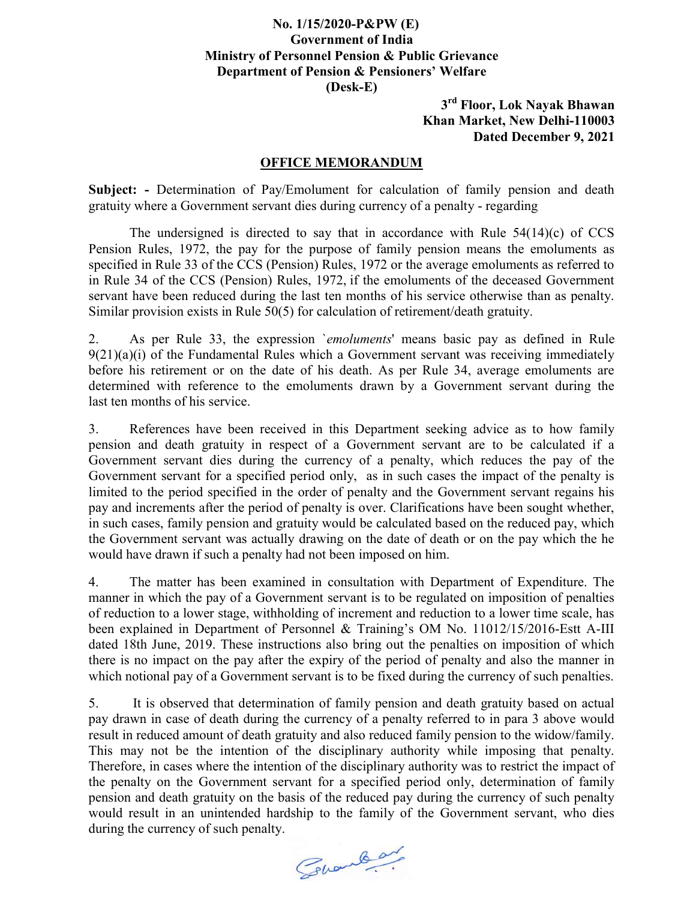## No. 1/15/2020-P&PW (E) Government of India Ministry of Personnel Pension & Public Grievance Department of Pension & Pensioners' Welfare (Desk-E)

3<sup>rd</sup> Floor, Lok Nayak Bhawan Khan Market, New Delhi-110003 Dated December 9, 2021

## OFFICE MEMORANDUM

Subject: - Determination of Pay/Emolument for calculation of family pension and death gratuity where a Government servant dies during currency of a penalty - regarding

 The undersigned is directed to say that in accordance with Rule 54(14)(c) of CCS Pension Rules, 1972, the pay for the purpose of family pension means the emoluments as specified in Rule 33 of the CCS (Pension) Rules, 1972 or the average emoluments as referred to in Rule 34 of the CCS (Pension) Rules, 1972, if the emoluments of the deceased Government servant have been reduced during the last ten months of his service otherwise than as penalty. Similar provision exists in Rule 50(5) for calculation of retirement/death gratuity.

2. As per Rule 33, the expression `emoluments' means basic pay as defined in Rule  $9(21)(a)(i)$  of the Fundamental Rules which a Government servant was receiving immediately before his retirement or on the date of his death. As per Rule 34, average emoluments are determined with reference to the emoluments drawn by a Government servant during the last ten months of his service.

3. References have been received in this Department seeking advice as to how family pension and death gratuity in respect of a Government servant are to be calculated if a Government servant dies during the currency of a penalty, which reduces the pay of the Government servant for a specified period only, as in such cases the impact of the penalty is limited to the period specified in the order of penalty and the Government servant regains his pay and increments after the period of penalty is over. Clarifications have been sought whether, in such cases, family pension and gratuity would be calculated based on the reduced pay, which the Government servant was actually drawing on the date of death or on the pay which the he would have drawn if such a penalty had not been imposed on him.

4. The matter has been examined in consultation with Department of Expenditure. The manner in which the pay of a Government servant is to be regulated on imposition of penalties of reduction to a lower stage, withholding of increment and reduction to a lower time scale, has been explained in Department of Personnel & Training's OM No. 11012/15/2016-Estt A-III dated 18th June, 2019. These instructions also bring out the penalties on imposition of which there is no impact on the pay after the expiry of the period of penalty and also the manner in which notional pay of a Government servant is to be fixed during the currency of such penalties.

5. It is observed that determination of family pension and death gratuity based on actual pay drawn in case of death during the currency of a penalty referred to in para 3 above would result in reduced amount of death gratuity and also reduced family pension to the widow/family. This may not be the intention of the disciplinary authority while imposing that penalty. Therefore, in cases where the intention of the disciplinary authority was to restrict the impact of the penalty on the Government servant for a specified period only, determination of family pension and death gratuity on the basis of the reduced pay during the currency of such penalty would result in an unintended hardship to the family of the Government servant, who dies during the currency of such penalty.

Granda